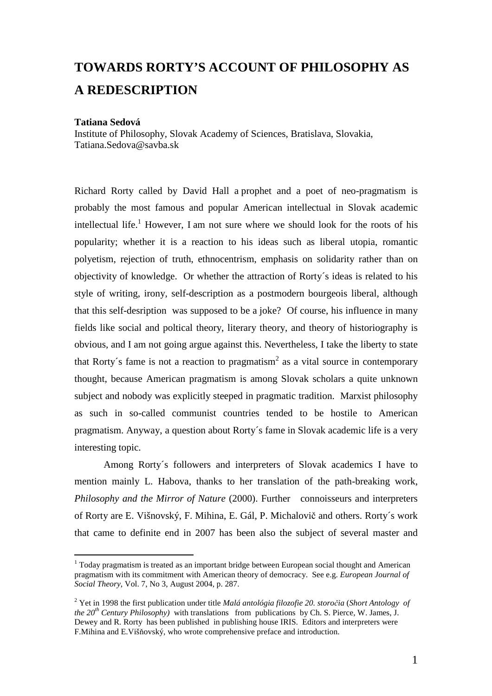## **TOWARDS RORTY'S ACCOUNT OF PHILOSOPHY AS A REDESCRIPTION**

## **Tatiana Sedová**

 $\overline{a}$ 

Institute of Philosophy, Slovak Academy of Sciences, Bratislava, Slovakia, Tatiana.Sedova@savba.sk

Richard Rorty called by David Hall a prophet and a poet of neo-pragmatism is probably the most famous and popular American intellectual in Slovak academic intellectual life.<sup>1</sup> However, I am not sure where we should look for the roots of his popularity; whether it is a reaction to his ideas such as liberal utopia, romantic polyetism, rejection of truth, ethnocentrism, emphasis on solidarity rather than on objectivity of knowledge. Or whether the attraction of Rorty´s ideas is related to his style of writing, irony, self-description as a postmodern bourgeois liberal, although that this self-desription was supposed to be a joke? Of course, his influence in many fields like social and poltical theory, literary theory, and theory of historiography is obvious, and I am not going argue against this. Nevertheless, I take the liberty to state that Rorty's fame is not a reaction to pragmatism<sup>2</sup> as a vital source in contemporary thought, because American pragmatism is among Slovak scholars a quite unknown subject and nobody was explicitly steeped in pragmatic tradition. Marxist philosophy as such in so-called communist countries tended to be hostile to American pragmatism. Anyway, a question about Rorty´s fame in Slovak academic life is a very interesting topic.

Among Rorty´s followers and interpreters of Slovak academics I have to mention mainly L. Habova, thanks to her translation of the path-breaking work, *Philosophy and the Mirror of Nature* (2000). Further connoisseurs and interpreters of Rorty are E. Višnovský, F. Mihina, E. Gál, P. Michalovič and others. Rorty´s work that came to definite end in 2007 has been also the subject of several master and

<sup>&</sup>lt;sup>1</sup> Today pragmatism is treated as an important bridge between European social thought and American pragmatism with its commitment with American theory of democracy. See e.g. *European Journal of Social Theory*, Vol. 7, No 3, August 2004, p. 287.

<sup>2</sup> Yet in 1998 the first publication under title *Malá antológia filozofie 20. storočia* (*Short Antology of the*  $20^{th}$  *Century Philosophy*) with translations from publications by Ch. S. Pierce, W. James, J. Dewey and R. Rorty has been published in publishing house IRIS. Editors and interpreters were F.Mihina and E.Višňovský, who wrote comprehensive preface and introduction.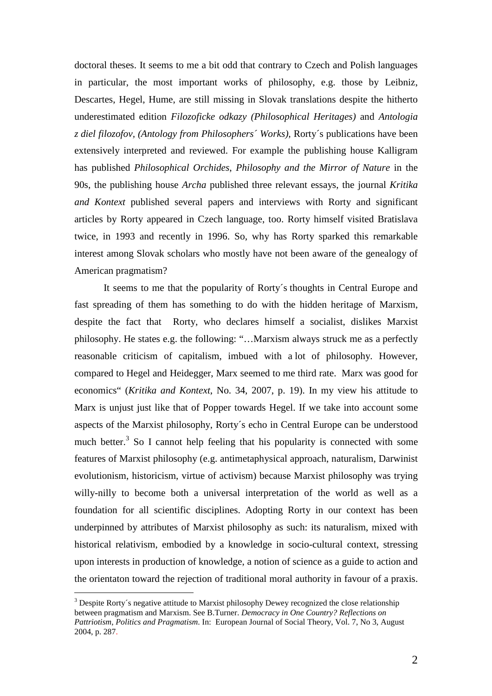doctoral theses. It seems to me a bit odd that contrary to Czech and Polish languages in particular, the most important works of philosophy, e.g. those by Leibniz, Descartes, Hegel, Hume, are still missing in Slovak translations despite the hitherto underestimated edition *Filozoficke odkazy (Philosophical Heritages)* and *Antologia z diel filozofov, (Antology from Philosophers´ Works),* Rorty´s publications have been extensively interpreted and reviewed. For example the publishing house Kalligram has published *Philosophical Orchides*, *Philosophy and the Mirror of Nature* in the 90s, the publishing house *Archa* published three relevant essays, the journal *Kritika and Kontext* published several papers and interviews with Rorty and significant articles by Rorty appeared in Czech language, too. Rorty himself visited Bratislava twice, in 1993 and recently in 1996. So, why has Rorty sparked this remarkable interest among Slovak scholars who mostly have not been aware of the genealogy of American pragmatism?

 It seems to me that the popularity of Rorty´s thoughts in Central Europe and fast spreading of them has something to do with the hidden heritage of Marxism, despite the fact that Rorty, who declares himself a socialist, dislikes Marxist philosophy. He states e.g. the following: "…Marxism always struck me as a perfectly reasonable criticism of capitalism, imbued with a lot of philosophy. However, compared to Hegel and Heidegger, Marx seemed to me third rate. Marx was good for economics" (*Kritika and Kontext*, No. 34, 2007, p. 19). In my view his attitude to Marx is unjust just like that of Popper towards Hegel. If we take into account some aspects of the Marxist philosophy, Rorty´s echo in Central Europe can be understood much better. $3$  So I cannot help feeling that his popularity is connected with some features of Marxist philosophy (e.g. antimetaphysical approach, naturalism, Darwinist evolutionism, historicism, virtue of activism) because Marxist philosophy was trying willy-nilly to become both a universal interpretation of the world as well as a foundation for all scientific disciplines. Adopting Rorty in our context has been underpinned by attributes of Marxist philosophy as such: its naturalism, mixed with historical relativism, embodied by a knowledge in socio-cultural context, stressing upon interests in production of knowledge, a notion of science as a guide to action and the orientaton toward the rejection of traditional moral authority in favour of a praxis.

 $\overline{a}$ 

 $3$  Despite Rorty's negative attitude to Marxist philosophy Dewey recognized the close relationship between pragmatism and Marxism. See B.Turner. *Democracy in One Country? Reflections on Pattriotism*, *Politics and Pragmatism*. In: European Journal of Social Theory, Vol. 7, No 3, August 2004, p. 287.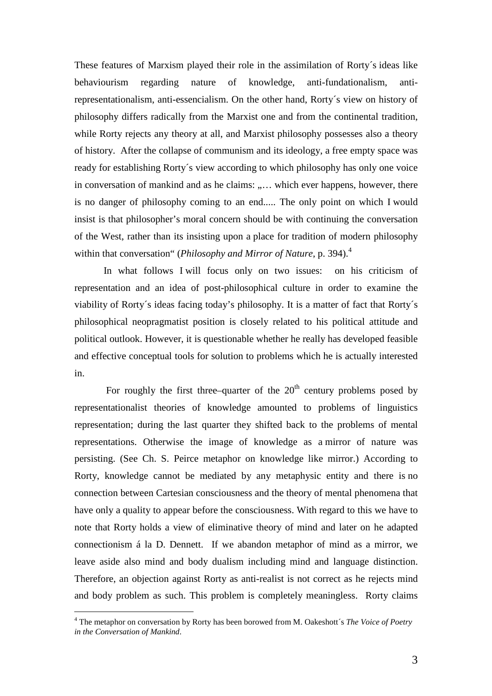These features of Marxism played their role in the assimilation of Rorty´s ideas like behaviourism regarding nature of knowledge, anti-fundationalism, antirepresentationalism, anti-essencialism. On the other hand, Rorty´s view on history of philosophy differs radically from the Marxist one and from the continental tradition, while Rorty rejects any theory at all, and Marxist philosophy possesses also a theory of history. After the collapse of communism and its ideology, a free empty space was ready for establishing Rorty´s view according to which philosophy has only one voice in conversation of mankind and as he claims: "... which ever happens, however, there is no danger of philosophy coming to an end..... The only point on which I would insist is that philosopher's moral concern should be with continuing the conversation of the West, rather than its insisting upon a place for tradition of modern philosophy within that conversation" (*Philosophy and Mirror of Nature*, p. 394).<sup>4</sup>

In what follows I will focus only on two issues: on his criticism of representation and an idea of post-philosophical culture in order to examine the viability of Rorty´s ideas facing today's philosophy. It is a matter of fact that Rorty´s philosophical neopragmatist position is closely related to his political attitude and political outlook. However, it is questionable whether he really has developed feasible and effective conceptual tools for solution to problems which he is actually interested in.

For roughly the first three–quarter of the  $20<sup>th</sup>$  century problems posed by representationalist theories of knowledge amounted to problems of linguistics representation; during the last quarter they shifted back to the problems of mental representations. Otherwise the image of knowledge as a mirror of nature was persisting. (See Ch. S. Peirce metaphor on knowledge like mirror.) According to Rorty, knowledge cannot be mediated by any metaphysic entity and there is no connection between Cartesian consciousness and the theory of mental phenomena that have only a quality to appear before the consciousness. With regard to this we have to note that Rorty holds a view of eliminative theory of mind and later on he adapted connectionism á la D. Dennett. If we abandon metaphor of mind as a mirror, we leave aside also mind and body dualism including mind and language distinction. Therefore, an objection against Rorty as anti-realist is not correct as he rejects mind and body problem as such. This problem is completely meaningless. Rorty claims

 $\overline{a}$ 

<sup>4</sup> The metaphor on conversation by Rorty has been borowed from M. Oakeshott´s *The Voice of Poetry in the Conversation of Mankind*.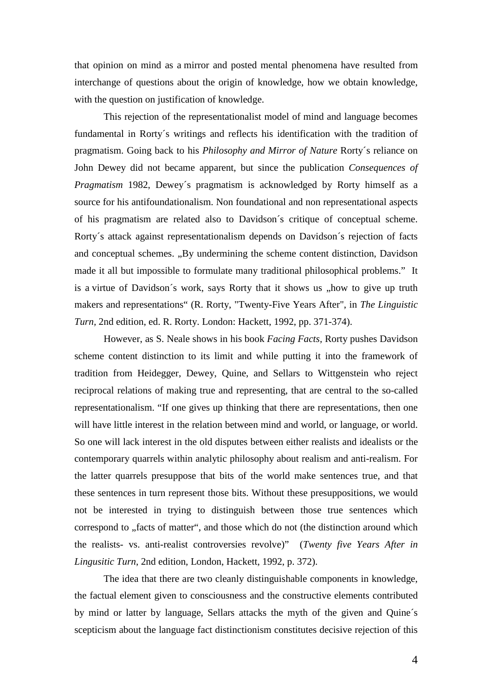that opinion on mind as a mirror and posted mental phenomena have resulted from interchange of questions about the origin of knowledge, how we obtain knowledge, with the question on justification of knowledge.

This rejection of the representationalist model of mind and language becomes fundamental in Rorty´s writings and reflects his identification with the tradition of pragmatism. Going back to his *Philosophy and Mirror of Nature* Rorty´s reliance on John Dewey did not became apparent, but since the publication *Consequences of Pragmatism* 1982, Dewey´s pragmatism is acknowledged by Rorty himself as a source for his antifoundationalism. Non foundational and non representational aspects of his pragmatism are related also to Davidson´s critique of conceptual scheme. Rorty´s attack against representationalism depends on Davidson´s rejection of facts and conceptual schemes. "By undermining the scheme content distinction, Davidson made it all but impossible to formulate many traditional philosophical problems." It is a virtue of Davidson's work, says Rorty that it shows us "how to give up truth makers and representations" (R. Rorty, "Twenty-Five Years After", in *The Linguistic Turn,* 2nd edition, ed. R. Rorty. London: Hackett, 1992, pp. 371-374).

However, as S. Neale shows in his book *Facing Facts,* Rorty pushes Davidson scheme content distinction to its limit and while putting it into the framework of tradition from Heidegger, Dewey, Quine, and Sellars to Wittgenstein who reject reciprocal relations of making true and representing, that are central to the so-called representationalism. "If one gives up thinking that there are representations, then one will have little interest in the relation between mind and world, or language, or world. So one will lack interest in the old disputes between either realists and idealists or the contemporary quarrels within analytic philosophy about realism and anti-realism. For the latter quarrels presuppose that bits of the world make sentences true, and that these sentences in turn represent those bits. Without these presuppositions, we would not be interested in trying to distinguish between those true sentences which correspond to "facts of matter", and those which do not (the distinction around which the realists- vs. anti-realist controversies revolve)" (*Twenty five Years After in Lingusitic Turn*, 2nd edition, London, Hackett, 1992, p. 372).

The idea that there are two cleanly distinguishable components in knowledge, the factual element given to consciousness and the constructive elements contributed by mind or latter by language, Sellars attacks the myth of the given and Quine´s scepticism about the language fact distinctionism constitutes decisive rejection of this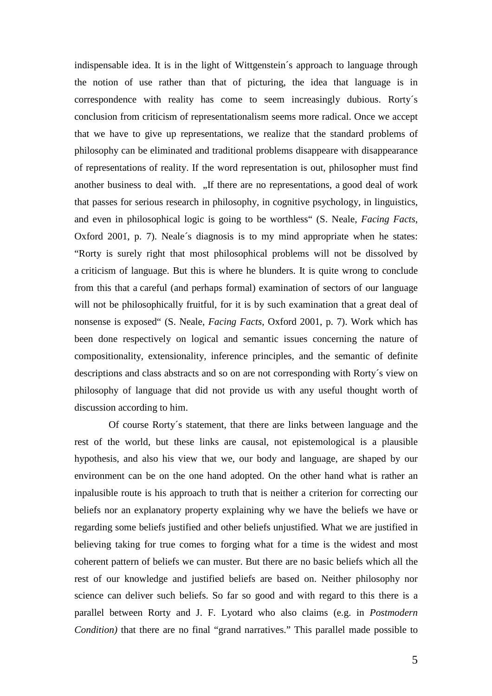indispensable idea. It is in the light of Wittgenstein´s approach to language through the notion of use rather than that of picturing, the idea that language is in correspondence with reality has come to seem increasingly dubious. Rorty´s conclusion from criticism of representationalism seems more radical. Once we accept that we have to give up representations, we realize that the standard problems of philosophy can be eliminated and traditional problems disappeare with disappearance of representations of reality. If the word representation is out, philosopher must find another business to deal with. "If there are no representations, a good deal of work that passes for serious research in philosophy, in cognitive psychology, in linguistics, and even in philosophical logic is going to be worthless" (S. Neale, *Facing Facts*, Oxford 2001, p. 7). Neale´s diagnosis is to my mind appropriate when he states: "Rorty is surely right that most philosophical problems will not be dissolved by a criticism of language. But this is where he blunders. It is quite wrong to conclude from this that a careful (and perhaps formal) examination of sectors of our language will not be philosophically fruitful, for it is by such examination that a great deal of nonsense is exposed" (S. Neale, *Facing Facts*, Oxford 2001, p. 7). Work which has been done respectively on logical and semantic issues concerning the nature of compositionality, extensionality, inference principles, and the semantic of definite descriptions and class abstracts and so on are not corresponding with Rorty´s view on philosophy of language that did not provide us with any useful thought worth of discussion according to him.

 Of course Rorty´s statement, that there are links between language and the rest of the world, but these links are causal, not epistemological is a plausible hypothesis, and also his view that we, our body and language, are shaped by our environment can be on the one hand adopted. On the other hand what is rather an inpalusible route is his approach to truth that is neither a criterion for correcting our beliefs nor an explanatory property explaining why we have the beliefs we have or regarding some beliefs justified and other beliefs unjustified. What we are justified in believing taking for true comes to forging what for a time is the widest and most coherent pattern of beliefs we can muster. But there are no basic beliefs which all the rest of our knowledge and justified beliefs are based on. Neither philosophy nor science can deliver such beliefs. So far so good and with regard to this there is a parallel between Rorty and J. F. Lyotard who also claims (e.g. in *Postmodern Condition*) that there are no final "grand narratives." This parallel made possible to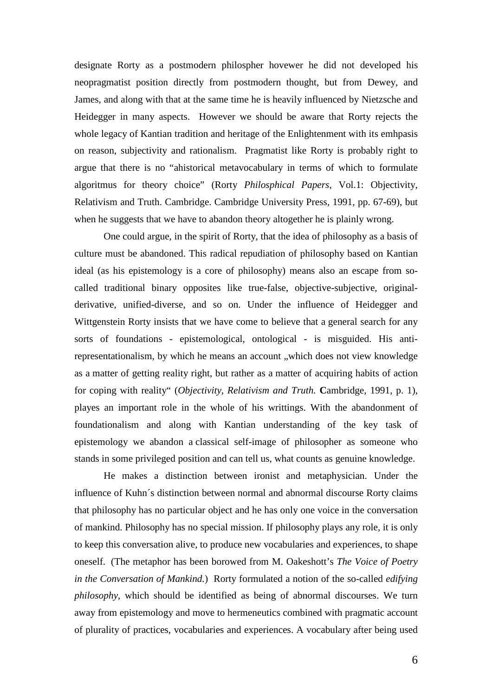designate Rorty as a postmodern philospher hovewer he did not developed his neopragmatist position directly from postmodern thought, but from Dewey, and James, and along with that at the same time he is heavily influenced by Nietzsche and Heidegger in many aspects. However we should be aware that Rorty rejects the whole legacy of Kantian tradition and heritage of the Enlightenment with its emhpasis on reason, subjectivity and rationalism. Pragmatist like Rorty is probably right to argue that there is no "ahistorical metavocabulary in terms of which to formulate algoritmus for theory choice" (Rorty *Philosphical Papers*, Vol.1: Objectivity, Relativism and Truth. Cambridge. Cambridge University Press, 1991, pp. 67-69), but when he suggests that we have to abandon theory altogether he is plainly wrong.

One could argue, in the spirit of Rorty, that the idea of philosophy as a basis of culture must be abandoned. This radical repudiation of philosophy based on Kantian ideal (as his epistemology is a core of philosophy) means also an escape from socalled traditional binary opposites like true-false, objective-subjective, originalderivative, unified-diverse, and so on. Under the influence of Heidegger and Wittgenstein Rorty insists that we have come to believe that a general search for any sorts of foundations - epistemological, ontological - is misguided. His antirepresentationalism, by which he means an account , which does not view knowledge as a matter of getting reality right, but rather as a matter of acquiring habits of action for coping with reality" (*Objectivity, Relativism and Truth.* **C**ambridge, 1991, p. 1), playes an important role in the whole of his writtings. With the abandonment of foundationalism and along with Kantian understanding of the key task of epistemology we abandon a classical self-image of philosopher as someone who stands in some privileged position and can tell us, what counts as genuine knowledge.

He makes a distinction between ironist and metaphysician. Under the influence of Kuhn´s distinction between normal and abnormal discourse Rorty claims that philosophy has no particular object and he has only one voice in the conversation of mankind. Philosophy has no special mission. If philosophy plays any role, it is only to keep this conversation alive, to produce new vocabularies and experiences, to shape oneself. (The metaphor has been borowed from M. Oakeshott's *The Voice of Poetry in the Conversation of Mankind.*) Rorty formulated a notion of the so-called *edifying philosophy*, which should be identified as being of abnormal discourses. We turn away from epistemology and move to hermeneutics combined with pragmatic account of plurality of practices, vocabularies and experiences. A vocabulary after being used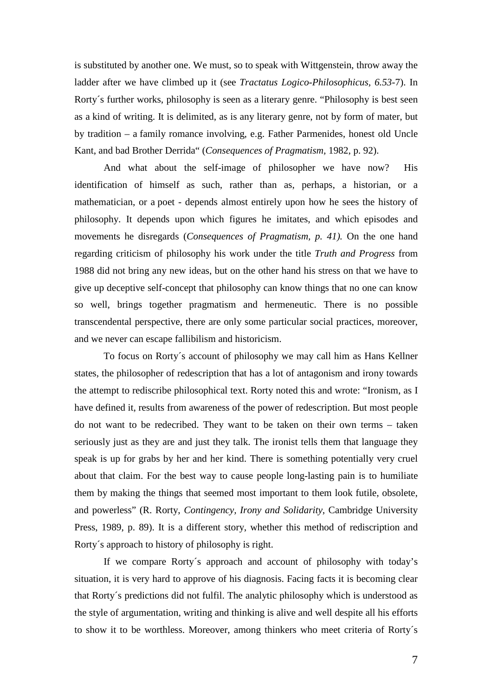is substituted by another one. We must, so to speak with Wittgenstein, throw away the ladder after we have climbed up it (see *Tractatus Logico-Philosophicus, 6.53*-7). In Rorty´s further works, philosophy is seen as a literary genre. "Philosophy is best seen as a kind of writing. It is delimited, as is any literary genre, not by form of mater, but by tradition – a family romance involving, e.g. Father Parmenides, honest old Uncle Kant, and bad Brother Derrida" (*Consequences of Pragmatism,* 1982, p. 92).

And what about the self-image of philosopher we have now? His identification of himself as such, rather than as, perhaps, a historian, or a mathematician, or a poet - depends almost entirely upon how he sees the history of philosophy. It depends upon which figures he imitates, and which episodes and movements he disregards (*Consequences of Pragmatism, p. 41).* On the one hand regarding criticism of philosophy his work under the title *Truth and Progress* from 1988 did not bring any new ideas, but on the other hand his stress on that we have to give up deceptive self-concept that philosophy can know things that no one can know so well, brings together pragmatism and hermeneutic. There is no possible transcendental perspective, there are only some particular social practices, moreover, and we never can escape fallibilism and historicism.

To focus on Rorty´s account of philosophy we may call him as Hans Kellner states, the philosopher of redescription that has a lot of antagonism and irony towards the attempt to rediscribe philosophical text. Rorty noted this and wrote: "Ironism, as I have defined it, results from awareness of the power of redescription. But most people do not want to be redecribed. They want to be taken on their own terms – taken seriously just as they are and just they talk. The ironist tells them that language they speak is up for grabs by her and her kind. There is something potentially very cruel about that claim. For the best way to cause people long-lasting pain is to humiliate them by making the things that seemed most important to them look futile, obsolete, and powerless" (R. Rorty, *Contingency, Irony and Solidarity*, Cambridge University Press, 1989, p. 89). It is a different story, whether this method of rediscription and Rorty´s approach to history of philosophy is right.

If we compare Rorty´s approach and account of philosophy with today's situation, it is very hard to approve of his diagnosis. Facing facts it is becoming clear that Rorty´s predictions did not fulfil. The analytic philosophy which is understood as the style of argumentation, writing and thinking is alive and well despite all his efforts to show it to be worthless. Moreover, among thinkers who meet criteria of Rorty´s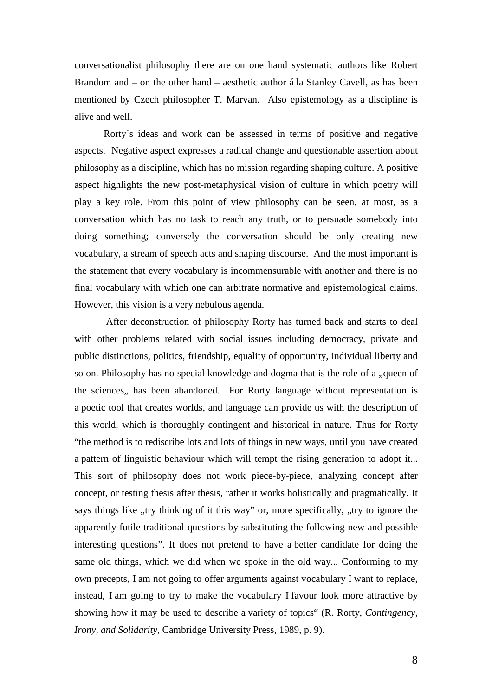conversationalist philosophy there are on one hand systematic authors like Robert Brandom and – on the other hand – aesthetic author á la Stanley Cavell, as has been mentioned by Czech philosopher T. Marvan. Also epistemology as a discipline is alive and well.

Rorty´s ideas and work can be assessed in terms of positive and negative aspects. Negative aspect expresses a radical change and questionable assertion about philosophy as a discipline, which has no mission regarding shaping culture. A positive aspect highlights the new post-metaphysical vision of culture in which poetry will play a key role. From this point of view philosophy can be seen, at most, as a conversation which has no task to reach any truth, or to persuade somebody into doing something; conversely the conversation should be only creating new vocabulary, a stream of speech acts and shaping discourse. And the most important is the statement that every vocabulary is incommensurable with another and there is no final vocabulary with which one can arbitrate normative and epistemological claims. However, this vision is a very nebulous agenda.

 After deconstruction of philosophy Rorty has turned back and starts to deal with other problems related with social issues including democracy, private and public distinctions, politics, friendship, equality of opportunity, individual liberty and so on. Philosophy has no special knowledge and dogma that is the role of a , queen of the sciences,, has been abandoned. For Rorty language without representation is a poetic tool that creates worlds, and language can provide us with the description of this world, which is thoroughly contingent and historical in nature. Thus for Rorty "the method is to rediscribe lots and lots of things in new ways, until you have created a pattern of linguistic behaviour which will tempt the rising generation to adopt it... This sort of philosophy does not work piece-by-piece, analyzing concept after concept, or testing thesis after thesis, rather it works holistically and pragmatically. It says things like ,,try thinking of it this way" or, more specifically, ,,try to ignore the apparently futile traditional questions by substituting the following new and possible interesting questions". It does not pretend to have a better candidate for doing the same old things, which we did when we spoke in the old way... Conforming to my own precepts, I am not going to offer arguments against vocabulary I want to replace, instead, I am going to try to make the vocabulary I favour look more attractive by showing how it may be used to describe a variety of topics" (R. Rorty, *Contingency, Irony, and Solidarity*, Cambridge University Press, 1989, p. 9).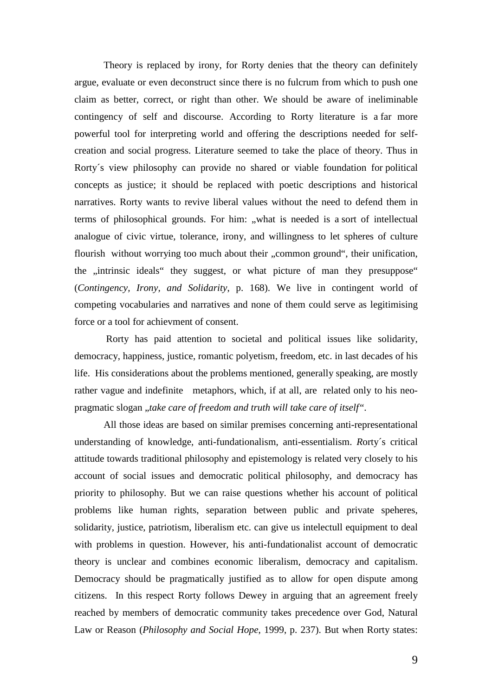Theory is replaced by irony, for Rorty denies that the theory can definitely argue, evaluate or even deconstruct since there is no fulcrum from which to push one claim as better, correct, or right than other. We should be aware of ineliminable contingency of self and discourse. According to Rorty literature is a far more powerful tool for interpreting world and offering the descriptions needed for selfcreation and social progress. Literature seemed to take the place of theory. Thus in Rorty´s view philosophy can provide no shared or viable foundation for political concepts as justice; it should be replaced with poetic descriptions and historical narratives. Rorty wants to revive liberal values without the need to defend them in terms of philosophical grounds. For him: "what is needed is a sort of intellectual analogue of civic virtue, tolerance, irony, and willingness to let spheres of culture flourish without worrying too much about their "common ground", their unification, the , intrinsic ideals " they suggest, or what picture of man they presuppose" (*Contingency, Irony, and Solidarity*, p. 168). We live in contingent world of competing vocabularies and narratives and none of them could serve as legitimising force or a tool for achievment of consent.

 Rorty has paid attention to societal and political issues like solidarity, democracy, happiness, justice, romantic polyetism, freedom, etc. in last decades of his life. His considerations about the problems mentioned, generally speaking, are mostly rather vague and indefinite metaphors, which, if at all, are related only to his neopragmatic slogan "*take care of freedom and truth will take care of itself".* 

All those ideas are based on similar premises concerning anti-representational understanding of knowledge, anti-fundationalism, anti-essentialism. *R*orty´s critical attitude towards traditional philosophy and epistemology is related very closely to his account of social issues and democratic political philosophy, and democracy has priority to philosophy. But we can raise questions whether his account of political problems like human rights, separation between public and private speheres, solidarity, justice, patriotism, liberalism etc. can give us intelectull equipment to deal with problems in question. However, his anti-fundationalist account of democratic theory is unclear and combines economic liberalism, democracy and capitalism. Democracy should be pragmatically justified as to allow for open dispute among citizens. In this respect Rorty follows Dewey in arguing that an agreement freely reached by members of democratic community takes precedence over God, Natural Law or Reason (*Philosophy and Social Hope*, 1999, p. 237). But when Rorty states: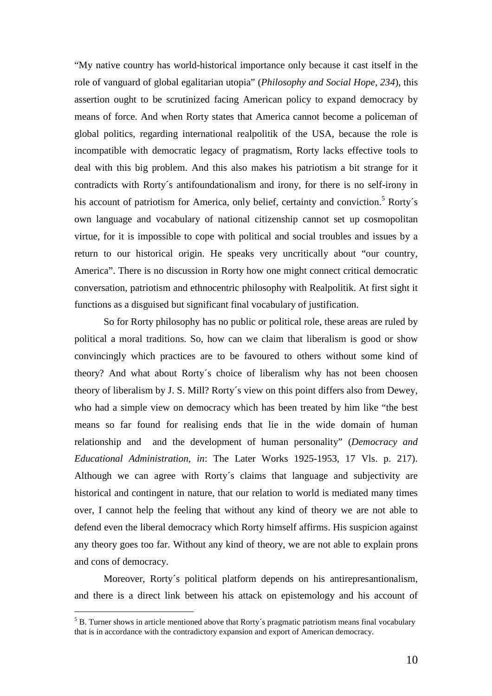"My native country has world-historical importance only because it cast itself in the role of vanguard of global egalitarian utopia" (*Philosophy and Social Hope, 234*), this assertion ought to be scrutinized facing American policy to expand democracy by means of force. And when Rorty states that America cannot become a policeman of global politics, regarding international realpolitik of the USA, because the role is incompatible with democratic legacy of pragmatism, Rorty lacks effective tools to deal with this big problem. And this also makes his patriotism a bit strange for it contradicts with Rorty´s antifoundationalism and irony, for there is no self-irony in his account of patriotism for America, only belief, certainty and conviction.<sup>5</sup> Rorty's own language and vocabulary of national citizenship cannot set up cosmopolitan virtue, for it is impossible to cope with political and social troubles and issues by a return to our historical origin. He speaks very uncritically about "our country, America". There is no discussion in Rorty how one might connect critical democratic conversation, patriotism and ethnocentric philosophy with Realpolitik. At first sight it functions as a disguised but significant final vocabulary of justification.

So for Rorty philosophy has no public or political role, these areas are ruled by political a moral traditions. So, how can we claim that liberalism is good or show convincingly which practices are to be favoured to others without some kind of theory? And what about Rorty´s choice of liberalism why has not been choosen theory of liberalism by J. S. Mill? Rorty´s view on this point differs also from Dewey, who had a simple view on democracy which has been treated by him like "the best means so far found for realising ends that lie in the wide domain of human relationship and and the development of human personality" (*Democracy and Educational Administration, in*: The Later Works 1925-1953, 17 Vls. p. 217). Although we can agree with Rorty´s claims that language and subjectivity are historical and contingent in nature, that our relation to world is mediated many times over, I cannot help the feeling that without any kind of theory we are not able to defend even the liberal democracy which Rorty himself affirms. His suspicion against any theory goes too far. Without any kind of theory, we are not able to explain prons and cons of democracy.

Moreover, Rorty´s political platform depends on his antirepresantionalism, and there is a direct link between his attack on epistemology and his account of

 $\overline{a}$ 

 $<sup>5</sup>$  B. Turner shows in article mentioned above that Rorty's pragmatic patriotism means final vocabulary</sup> that is in accordance with the contradictory expansion and export of American democracy.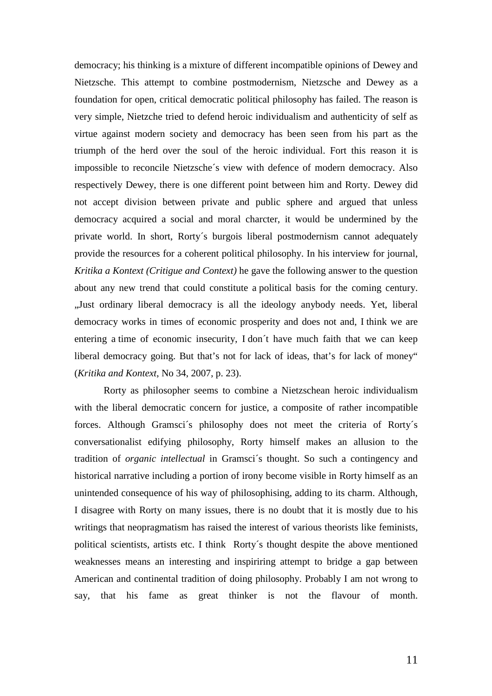democracy; his thinking is a mixture of different incompatible opinions of Dewey and Nietzsche. This attempt to combine postmodernism, Nietzsche and Dewey as a foundation for open, critical democratic political philosophy has failed. The reason is very simple, Nietzche tried to defend heroic individualism and authenticity of self as virtue against modern society and democracy has been seen from his part as the triumph of the herd over the soul of the heroic individual. Fort this reason it is impossible to reconcile Nietzsche´s view with defence of modern democracy. Also respectively Dewey, there is one different point between him and Rorty. Dewey did not accept division between private and public sphere and argued that unless democracy acquired a social and moral charcter, it would be undermined by the private world. In short, Rorty´s burgois liberal postmodernism cannot adequately provide the resources for a coherent political philosophy. In his interview for journal, *Kritika a Kontext (Critigue and Context)* he gave the following answer to the question about any new trend that could constitute a political basis for the coming century. "Just ordinary liberal democracy is all the ideology anybody needs. Yet, liberal democracy works in times of economic prosperity and does not and, I think we are entering a time of economic insecurity, I don´t have much faith that we can keep liberal democracy going. But that's not for lack of ideas, that's for lack of money" (*Kritika and Kontext*, No 34, 2007, p. 23).

Rorty as philosopher seems to combine a Nietzschean heroic individualism with the liberal democratic concern for justice, a composite of rather incompatible forces. Although Gramsci´s philosophy does not meet the criteria of Rorty´s conversationalist edifying philosophy, Rorty himself makes an allusion to the tradition of *organic intellectual* in Gramsci´s thought. So such a contingency and historical narrative including a portion of irony become visible in Rorty himself as an unintended consequence of his way of philosophising, adding to its charm. Although, I disagree with Rorty on many issues, there is no doubt that it is mostly due to his writings that neopragmatism has raised the interest of various theorists like feminists, political scientists, artists etc. I think Rorty´s thought despite the above mentioned weaknesses means an interesting and inspiriring attempt to bridge a gap between American and continental tradition of doing philosophy. Probably I am not wrong to say, that his fame as great thinker is not the flavour of month.